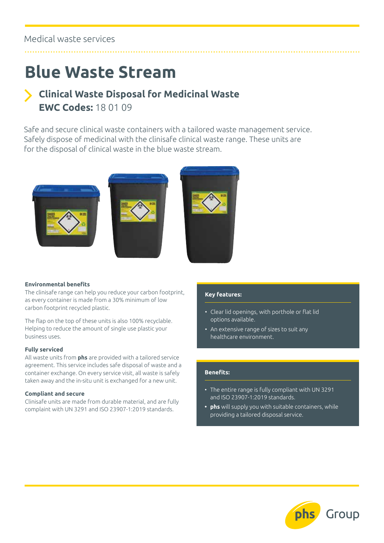### Medical waste services

## **Blue Waste Stream**

## **Clinical Waste Disposal for Medicinal Waste EWC Codes:** 18 01 09

Safe and secure clinical waste containers with a tailored waste management service. Safely dispose of medicinal with the clinisafe clinical waste range. These units are for the disposal of clinical waste in the blue waste stream.







#### **Environmental benefits**

The clinisafe range can help you reduce your carbon footprint, as every container is made from a 30% minimum of low carbon footprint recycled plastic.

The flap on the top of these units is also 100% recyclable. Helping to reduce the amount of single use plastic your business uses.

#### **Fully serviced**

All waste units from **phs** are provided with a tailored service agreement. This service includes safe disposal of waste and a container exchange. On every service visit, all waste is safely taken away and the in-situ unit is exchanged for a new unit.

#### **Compliant and secure**

Clinisafe units are made from durable material, and are fully complaint with UN 3291 and ISO 23907-1:2019 standards.

#### **Key features:**

- Clear lid openings, with porthole or flat lid options available.
- An extensive range of sizes to suit any healthcare environment.

#### **Benefits:**

- The entire range is fully compliant with UN 3291 and ISO 23907-1:2019 standards.
- **• phs** will supply you with suitable containers, while providing a tailored disposal service.